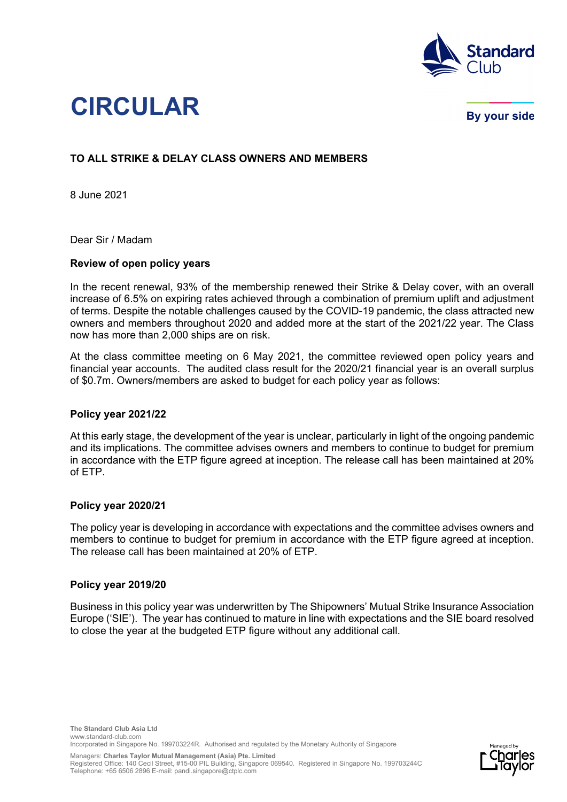

# **CIRCULAR**

By your side

## **TO ALL STRIKE & DELAY CLASS OWNERS AND MEMBERS**

8 June 2021

Dear Sir / Madam

#### **Review of open policy years**

In the recent renewal, 93% of the membership renewed their Strike & Delay cover, with an overall increase of 6.5% on expiring rates achieved through a combination of premium uplift and adjustment of terms. Despite the notable challenges caused by the COVID-19 pandemic, the class attracted new owners and members throughout 2020 and added more at the start of the 2021/22 year. The Class now has more than 2,000 ships are on risk.

At the class committee meeting on 6 May 2021, the committee reviewed open policy years and financial year accounts. The audited class result for the 2020/21 financial year is an overall surplus of \$0.7m. Owners/members are asked to budget for each policy year as follows:

### **Policy year 2021/22**

At this early stage, the development of the year is unclear, particularly in light of the ongoing pandemic and its implications. The committee advises owners and members to continue to budget for premium in accordance with the ETP figure agreed at inception. The release call has been maintained at 20% of ETP.

### **Policy year 2020/21**

The policy year is developing in accordance with expectations and the committee advises owners and members to continue to budget for premium in accordance with the ETP figure agreed at inception. The release call has been maintained at 20% of ETP.

### **Policy year 2019/20**

Business in this policy year was underwritten by The Shipowners' Mutual Strike Insurance Association Europe ('SIE'). The year has continued to mature in line with expectations and the SIE board resolved to close the year at the budgeted ETP figure without any additional call.